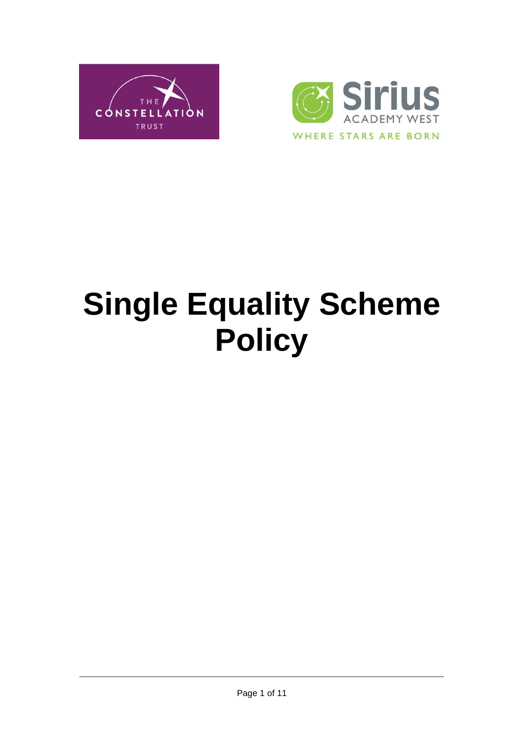



# **Single Equality Scheme Policy**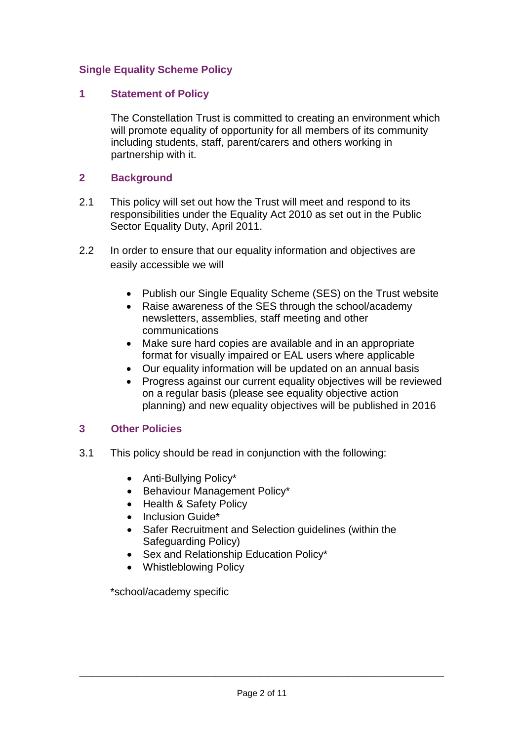#### **Single Equality Scheme Policy**

#### **1 Statement of Policy**

The Constellation Trust is committed to creating an environment which will promote equality of opportunity for all members of its community including students, staff, parent/carers and others working in partnership with it.

#### **2 Background**

- 2.1 This policy will set out how the Trust will meet and respond to its responsibilities under the Equality Act 2010 as set out in the Public Sector Equality Duty, April 2011.
- 2.2 In order to ensure that our equality information and objectives are easily accessible we will
	- Publish our Single Equality Scheme (SES) on the Trust website
	- Raise awareness of the SES through the school/academy newsletters, assemblies, staff meeting and other communications
	- Make sure hard copies are available and in an appropriate format for visually impaired or EAL users where applicable
	- Our equality information will be updated on an annual basis
	- Progress against our current equality objectives will be reviewed on a regular basis (please see equality objective action planning) and new equality objectives will be published in 2016

### **3 Other Policies**

- 3.1 This policy should be read in conjunction with the following:
	- Anti-Bullying Policy\*
	- Behaviour Management Policy\*
	- Health & Safety Policy
	- $\bullet$  Inclusion Guide\*
	- Safer Recruitment and Selection guidelines (within the Safeguarding Policy)
	- Sex and Relationship Education Policy\*
	- Whistleblowing Policy

\*school/academy specific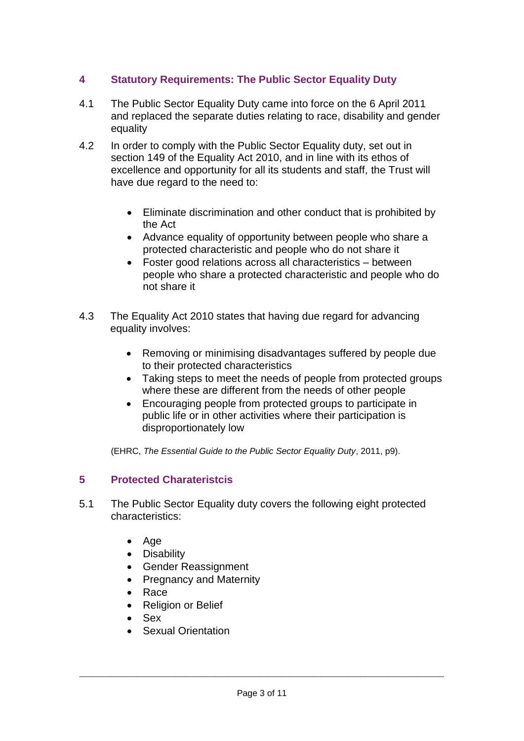# **4 Statutory Requirements: The Public Sector Equality Duty**

- 4.1 The Public Sector Equality Duty came into force on the 6 April 2011 and replaced the separate duties relating to race, disability and gender equality
- 4.2 In order to comply with the Public Sector Equality duty, set out in section 149 of the Equality Act 2010, and in line with its ethos of excellence and opportunity for all its students and staff, the Trust will have due regard to the need to:
	- Eliminate discrimination and other conduct that is prohibited by the Act
	- Advance equality of opportunity between people who share a protected characteristic and people who do not share it
	- Foster good relations across all characteristics between people who share a protected characteristic and people who do not share it
- 4.3 The Equality Act 2010 states that having due regard for advancing equality involves:
	- Removing or minimising disadvantages suffered by people due to their protected characteristics
	- Taking steps to meet the needs of people from protected groups where these are different from the needs of other people
	- Encouraging people from protected groups to participate in public life or in other activities where their participation is disproportionately low

(EHRC, *The Essential Guide to the Public Sector Equality Duty*, 2011, p9).

### **5 Protected Charateristcis**

- 5.1 The Public Sector Equality duty covers the following eight protected characteristics:
	- Age
	- Disability
	- Gender Reassignment
	- Pregnancy and Maternity
	- $\bullet$  Race
	- Religion or Belief
	- Sex
	- Sexual Orientation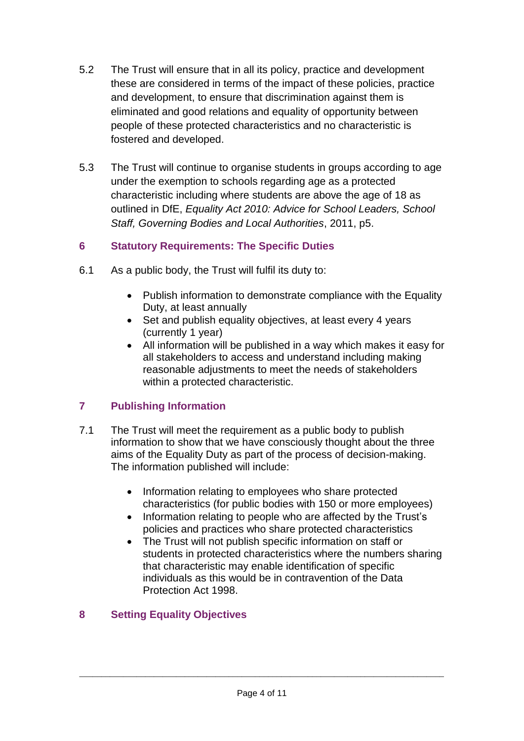- 5.2 The Trust will ensure that in all its policy, practice and development these are considered in terms of the impact of these policies, practice and development, to ensure that discrimination against them is eliminated and good relations and equality of opportunity between people of these protected characteristics and no characteristic is fostered and developed.
- 5.3 The Trust will continue to organise students in groups according to age under the exemption to schools regarding age as a protected characteristic including where students are above the age of 18 as outlined in DfE, *Equality Act 2010: Advice for School Leaders, School Staff, Governing Bodies and Local Authorities*, 2011, p5.

### **6 Statutory Requirements: The Specific Duties**

- 6.1 As a public body, the Trust will fulfil its duty to:
	- Publish information to demonstrate compliance with the Equality Duty, at least annually
	- Set and publish equality objectives, at least every 4 years (currently 1 year)
	- All information will be published in a way which makes it easy for all stakeholders to access and understand including making reasonable adjustments to meet the needs of stakeholders within a protected characteristic.

### **7 Publishing Information**

- 7.1 The Trust will meet the requirement as a public body to publish information to show that we have consciously thought about the three aims of the Equality Duty as part of the process of decision-making. The information published will include:
	- Information relating to employees who share protected characteristics (for public bodies with 150 or more employees)
	- Information relating to people who are affected by the Trust's policies and practices who share protected characteristics
	- The Trust will not publish specific information on staff or students in protected characteristics where the numbers sharing that characteristic may enable identification of specific individuals as this would be in contravention of the Data Protection Act 1998.

# **8 Setting Equality Objectives**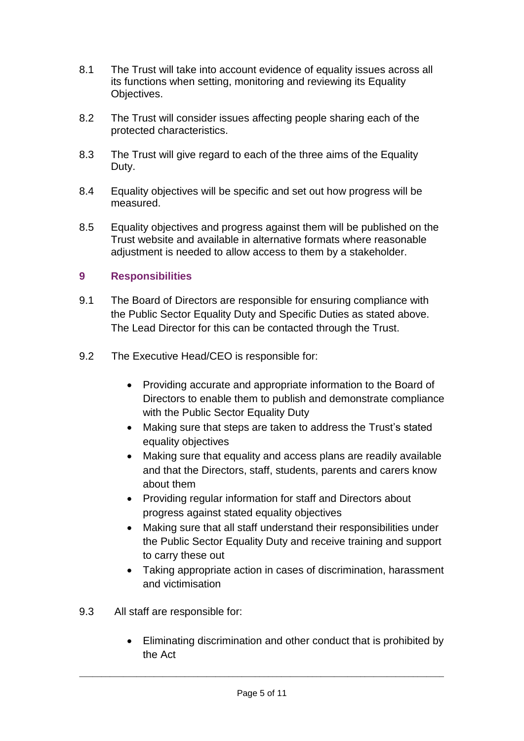- 8.1 The Trust will take into account evidence of equality issues across all its functions when setting, monitoring and reviewing its Equality Objectives.
- 8.2 The Trust will consider issues affecting people sharing each of the protected characteristics.
- 8.3 The Trust will give regard to each of the three aims of the Equality Duty.
- 8.4 Equality objectives will be specific and set out how progress will be measured.
- 8.5 Equality objectives and progress against them will be published on the Trust website and available in alternative formats where reasonable adjustment is needed to allow access to them by a stakeholder.

#### **9 Responsibilities**

- 9.1 The Board of Directors are responsible for ensuring compliance with the Public Sector Equality Duty and Specific Duties as stated above. The Lead Director for this can be contacted through the Trust.
- 9.2 The Executive Head/CEO is responsible for:
	- Providing accurate and appropriate information to the Board of Directors to enable them to publish and demonstrate compliance with the Public Sector Equality Duty
	- Making sure that steps are taken to address the Trust's stated equality objectives
	- Making sure that equality and access plans are readily available and that the Directors, staff, students, parents and carers know about them
	- Providing regular information for staff and Directors about progress against stated equality objectives
	- Making sure that all staff understand their responsibilities under the Public Sector Equality Duty and receive training and support to carry these out
	- Taking appropriate action in cases of discrimination, harassment and victimisation
- 9.3 All staff are responsible for:
	- Eliminating discrimination and other conduct that is prohibited by the Act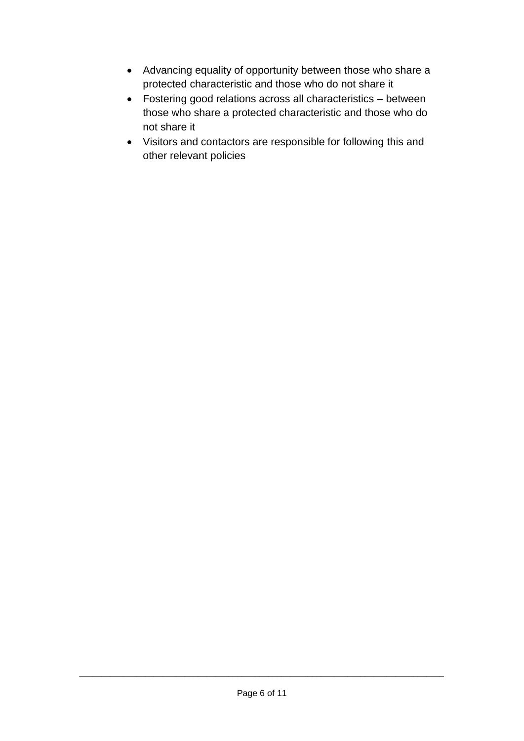- Advancing equality of opportunity between those who share a protected characteristic and those who do not share it
- Fostering good relations across all characteristics between those who share a protected characteristic and those who do not share it
- Visitors and contactors are responsible for following this and other relevant policies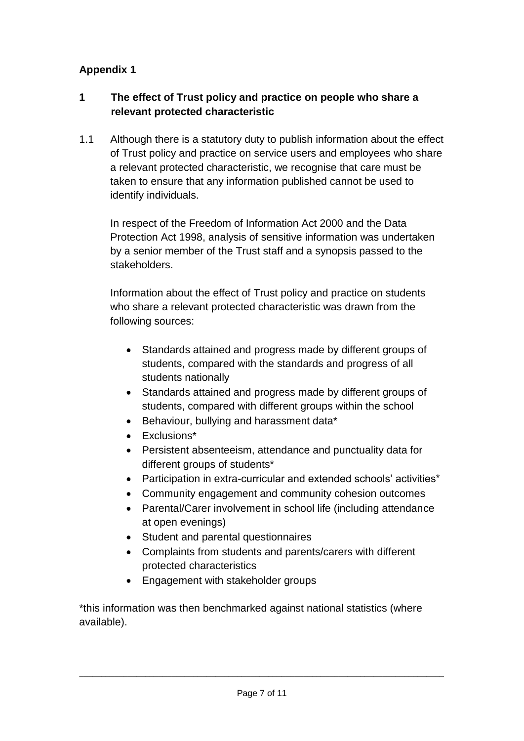# **Appendix 1**

### **1 The effect of Trust policy and practice on people who share a relevant protected characteristic**

1.1 Although there is a statutory duty to publish information about the effect of Trust policy and practice on service users and employees who share a relevant protected characteristic, we recognise that care must be taken to ensure that any information published cannot be used to identify individuals.

In respect of the Freedom of Information Act 2000 and the Data Protection Act 1998, analysis of sensitive information was undertaken by a senior member of the Trust staff and a synopsis passed to the stakeholders.

Information about the effect of Trust policy and practice on students who share a relevant protected characteristic was drawn from the following sources:

- Standards attained and progress made by different groups of students, compared with the standards and progress of all students nationally
- Standards attained and progress made by different groups of students, compared with different groups within the school
- Behaviour, bullying and harassment data\*
- Exclusions\*
- Persistent absenteeism, attendance and punctuality data for different groups of students\*
- Participation in extra-curricular and extended schools' activities\*
- Community engagement and community cohesion outcomes
- Parental/Carer involvement in school life (including attendance at open evenings)
- Student and parental questionnaires
- Complaints from students and parents/carers with different protected characteristics
- Engagement with stakeholder groups

\*this information was then benchmarked against national statistics (where available).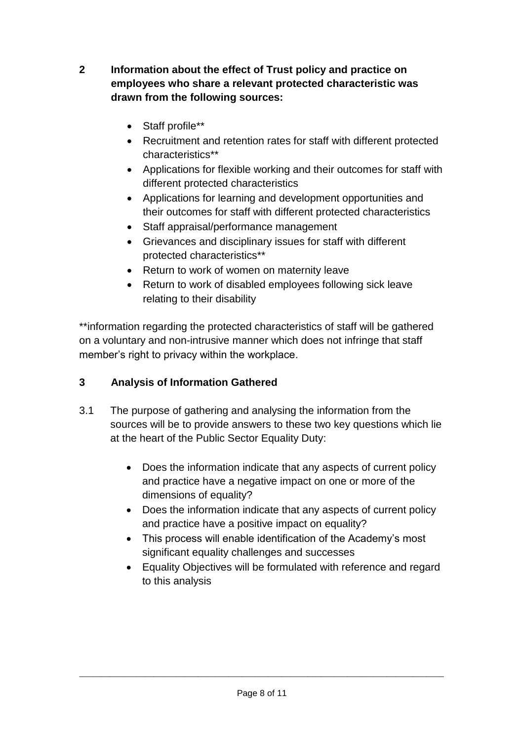- **2 Information about the effect of Trust policy and practice on employees who share a relevant protected characteristic was drawn from the following sources:**
	- Staff profile\*\*
	- Recruitment and retention rates for staff with different protected characteristics\*\*
	- Applications for flexible working and their outcomes for staff with different protected characteristics
	- Applications for learning and development opportunities and their outcomes for staff with different protected characteristics
	- Staff appraisal/performance management
	- Grievances and disciplinary issues for staff with different protected characteristics\*\*
	- Return to work of women on maternity leave
	- Return to work of disabled employees following sick leave relating to their disability

\*\*information regarding the protected characteristics of staff will be gathered on a voluntary and non-intrusive manner which does not infringe that staff member's right to privacy within the workplace.

### **3 Analysis of Information Gathered**

- 3.1 The purpose of gathering and analysing the information from the sources will be to provide answers to these two key questions which lie at the heart of the Public Sector Equality Duty:
	- Does the information indicate that any aspects of current policy and practice have a negative impact on one or more of the dimensions of equality?
	- Does the information indicate that any aspects of current policy and practice have a positive impact on equality?
	- This process will enable identification of the Academy's most significant equality challenges and successes
	- Equality Objectives will be formulated with reference and regard to this analysis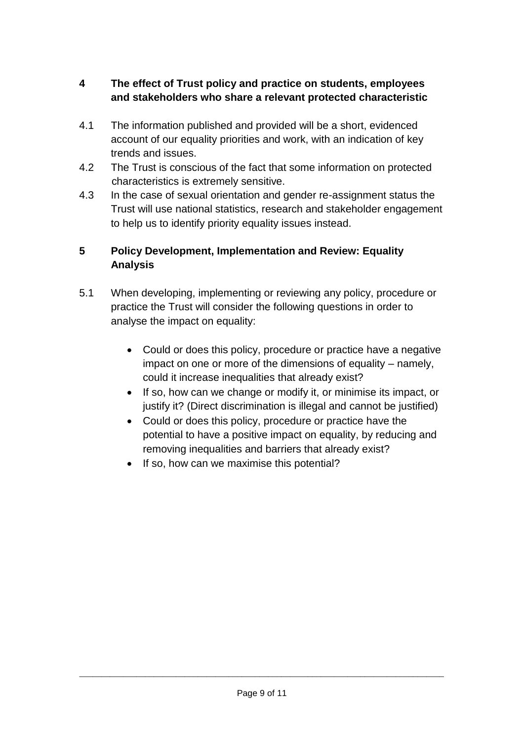# **4 The effect of Trust policy and practice on students, employees and stakeholders who share a relevant protected characteristic**

- 4.1 The information published and provided will be a short, evidenced account of our equality priorities and work, with an indication of key trends and issues.
- 4.2 The Trust is conscious of the fact that some information on protected characteristics is extremely sensitive.
- 4.3 In the case of sexual orientation and gender re-assignment status the Trust will use national statistics, research and stakeholder engagement to help us to identify priority equality issues instead.

# **5 Policy Development, Implementation and Review: Equality Analysis**

- 5.1 When developing, implementing or reviewing any policy, procedure or practice the Trust will consider the following questions in order to analyse the impact on equality:
	- Could or does this policy, procedure or practice have a negative impact on one or more of the dimensions of equality – namely, could it increase inequalities that already exist?
	- If so, how can we change or modify it, or minimise its impact, or justify it? (Direct discrimination is illegal and cannot be justified)
	- Could or does this policy, procedure or practice have the potential to have a positive impact on equality, by reducing and removing inequalities and barriers that already exist?
	- If so, how can we maximise this potential?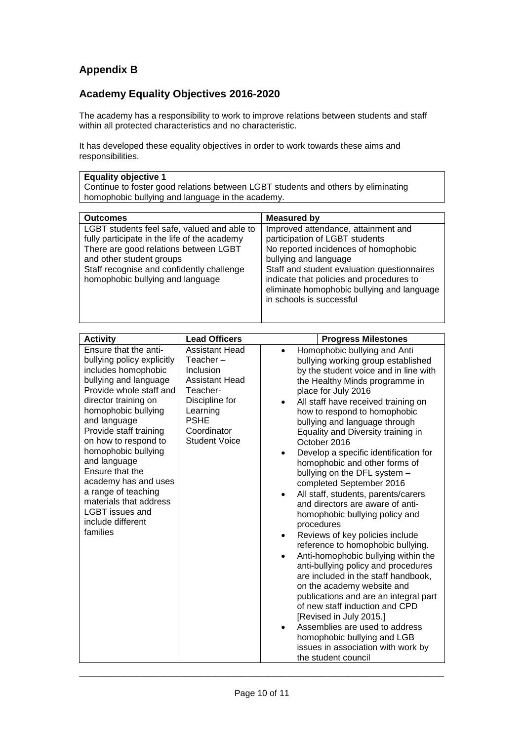# **Appendix B**

#### **Academy Equality Objectives 2016-2020**

The academy has a responsibility to work to improve relations between students and staff within all protected characteristics and no characteristic.

It has developed these equality objectives in order to work towards these aims and responsibilities.

|  | <b>Equality objective 1</b> |
|--|-----------------------------|
|--|-----------------------------|

Continue to foster good relations between LGBT students and others by eliminating homophobic bullying and language in the academy.

| <b>Outcomes</b>                                                                                                                                                                                                                                   | Measured by                                                                                                                                                                                                                                                                                                 |
|---------------------------------------------------------------------------------------------------------------------------------------------------------------------------------------------------------------------------------------------------|-------------------------------------------------------------------------------------------------------------------------------------------------------------------------------------------------------------------------------------------------------------------------------------------------------------|
| LGBT students feel safe, valued and able to<br>fully participate in the life of the academy<br>There are good relations between LGBT<br>and other student groups<br>Staff recognise and confidently challenge<br>homophobic bullying and language | Improved attendance, attainment and<br>participation of LGBT students<br>No reported incidences of homophobic<br>bullying and language<br>Staff and student evaluation questionnaires<br>indicate that policies and procedures to<br>eliminate homophobic bullying and language<br>in schools is successful |

| <b>Activity</b>                                                                                                                                                                                                                                                                                                                                                                                                                        | <b>Lead Officers</b>                                                                                                                                                       | <b>Progress Milestones</b>                                                                                                                                                                                                                                                                                                                                                                                                                                                                                                                                                                                                                                                                                                                                                                                                                                                                                                                                                                                                                                                                                             |
|----------------------------------------------------------------------------------------------------------------------------------------------------------------------------------------------------------------------------------------------------------------------------------------------------------------------------------------------------------------------------------------------------------------------------------------|----------------------------------------------------------------------------------------------------------------------------------------------------------------------------|------------------------------------------------------------------------------------------------------------------------------------------------------------------------------------------------------------------------------------------------------------------------------------------------------------------------------------------------------------------------------------------------------------------------------------------------------------------------------------------------------------------------------------------------------------------------------------------------------------------------------------------------------------------------------------------------------------------------------------------------------------------------------------------------------------------------------------------------------------------------------------------------------------------------------------------------------------------------------------------------------------------------------------------------------------------------------------------------------------------------|
| Ensure that the anti-<br>bullying policy explicitly<br>includes homophobic<br>bullying and language<br>Provide whole staff and<br>director training on<br>homophobic bullying<br>and language<br>Provide staff training<br>on how to respond to<br>homophobic bullying<br>and language<br>Ensure that the<br>academy has and uses<br>a range of teaching<br>materials that address<br>LGBT issues and<br>include different<br>families | <b>Assistant Head</b><br>$Teacher -$<br>Inclusion<br><b>Assistant Head</b><br>Teacher-<br>Discipline for<br>Learning<br><b>PSHE</b><br>Coordinator<br><b>Student Voice</b> | Homophobic bullying and Anti<br>$\bullet$<br>bullying working group established<br>by the student voice and in line with<br>the Healthy Minds programme in<br>place for July 2016<br>All staff have received training on<br>how to respond to homophobic<br>bullying and language through<br>Equality and Diversity training in<br>October 2016<br>Develop a specific identification for<br>$\bullet$<br>homophobic and other forms of<br>bullying on the DFL system -<br>completed September 2016<br>All staff, students, parents/carers<br>$\bullet$<br>and directors are aware of anti-<br>homophobic bullying policy and<br>procedures<br>Reviews of key policies include<br>reference to homophobic bullying.<br>Anti-homophobic bullying within the<br>$\bullet$<br>anti-bullying policy and procedures<br>are included in the staff handbook,<br>on the academy website and<br>publications and are an integral part<br>of new staff induction and CPD<br>[Revised in July 2015.]<br>Assemblies are used to address<br>homophobic bullying and LGB<br>issues in association with work by<br>the student council |